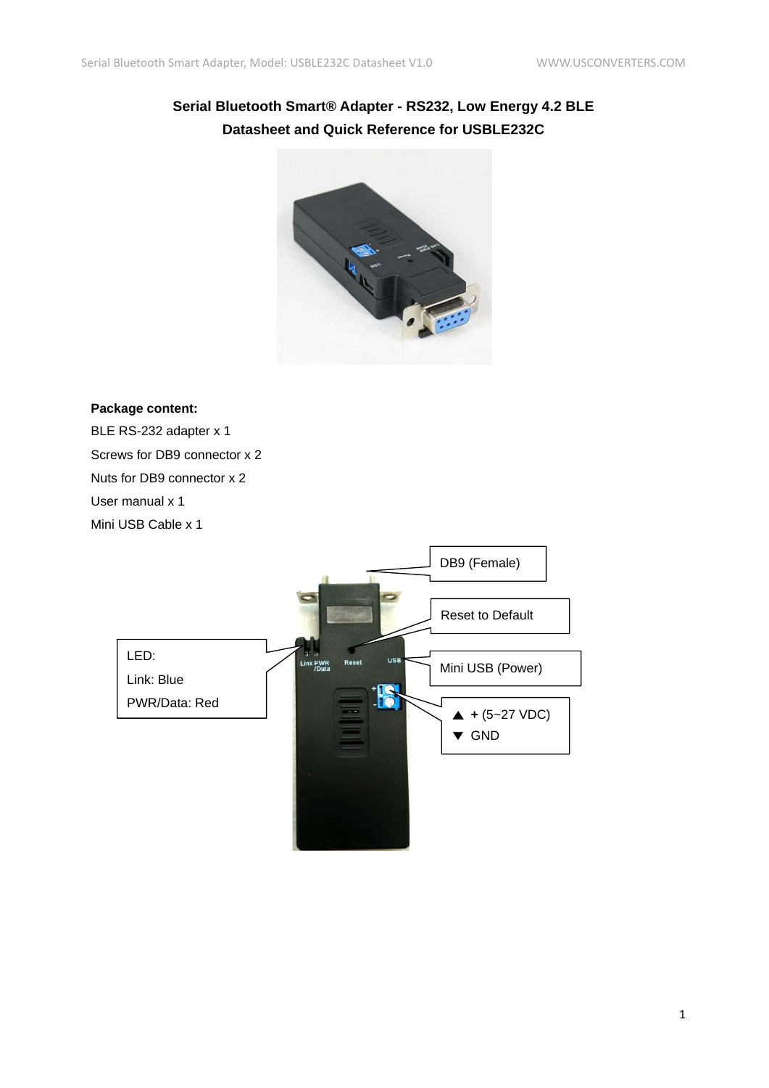# **Serial Bluetooth Smart® Adapter - RS232, Low Energy 4.2 BLE Datasheet and Quick Reference for USBLE232C**



#### **Package content:**

BLE RS-232 adapter x 1 Screws for DB9 connector x 2 Nuts for DB9 connector x 2 User manual x 1 Mini USB Cable x 1

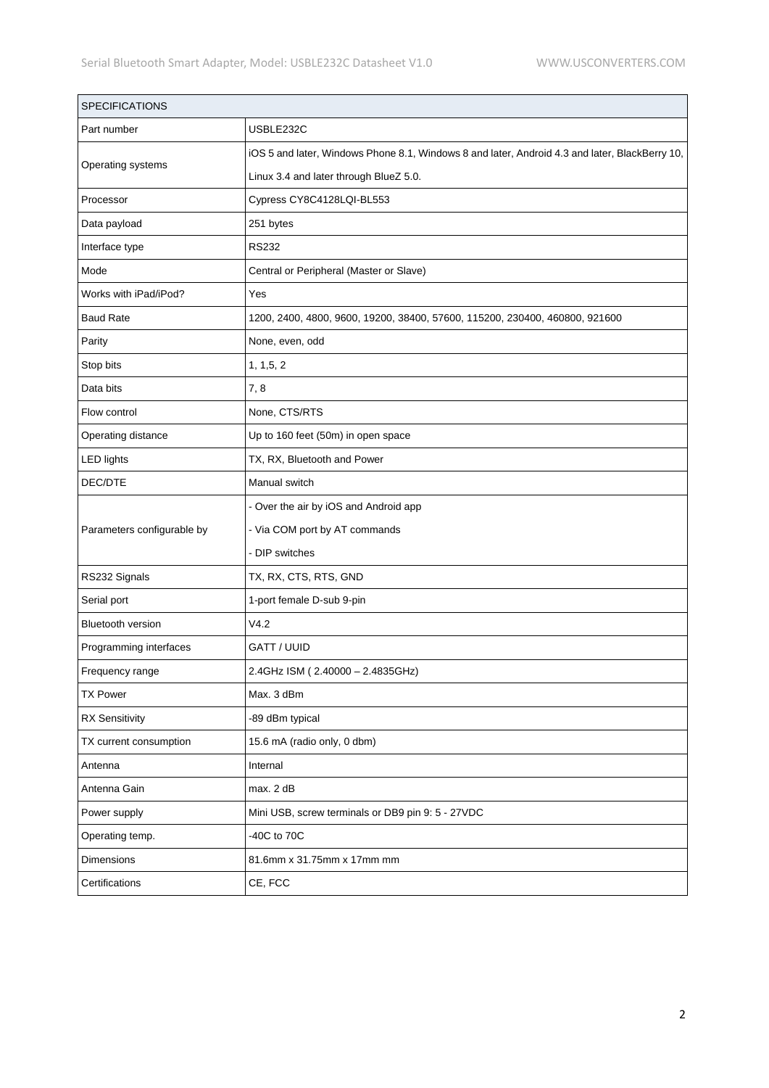| <b>SPECIFICATIONS</b>      |                                                                                                |
|----------------------------|------------------------------------------------------------------------------------------------|
| Part number                | USBLE232C                                                                                      |
| Operating systems          | iOS 5 and later, Windows Phone 8.1, Windows 8 and later, Android 4.3 and later, BlackBerry 10, |
|                            | Linux 3.4 and later through BlueZ 5.0.                                                         |
| Processor                  | Cypress CY8C4128LQI-BL553                                                                      |
| Data payload               | 251 bytes                                                                                      |
| Interface type             | <b>RS232</b>                                                                                   |
| Mode                       | Central or Peripheral (Master or Slave)                                                        |
| Works with iPad/iPod?      | Yes                                                                                            |
| <b>Baud Rate</b>           | 1200, 2400, 4800, 9600, 19200, 38400, 57600, 115200, 230400, 460800, 921600                    |
| Parity                     | None, even, odd                                                                                |
| Stop bits                  | 1, 1, 5, 2                                                                                     |
| Data bits                  | 7,8                                                                                            |
| Flow control               | None, CTS/RTS                                                                                  |
| Operating distance         | Up to 160 feet (50m) in open space                                                             |
| <b>LED lights</b>          | TX, RX, Bluetooth and Power                                                                    |
| DEC/DTE                    | Manual switch                                                                                  |
|                            | - Over the air by iOS and Android app                                                          |
| Parameters configurable by | - Via COM port by AT commands                                                                  |
|                            | - DIP switches                                                                                 |
| RS232 Signals              | TX, RX, CTS, RTS, GND                                                                          |
| Serial port                | 1-port female D-sub 9-pin                                                                      |
| <b>Bluetooth version</b>   | V4.2                                                                                           |
| Programming interfaces     | GATT / UUID                                                                                    |
| Frequency range            | 2.4GHz ISM (2.40000 - 2.4835GHz)                                                               |
| <b>TX Power</b>            | Max. 3 dBm                                                                                     |
| <b>RX Sensitivity</b>      | -89 dBm typical                                                                                |
| TX current consumption     | 15.6 mA (radio only, 0 dbm)                                                                    |
| Antenna                    | Internal                                                                                       |
| Antenna Gain               | max. 2 dB                                                                                      |
| Power supply               | Mini USB, screw terminals or DB9 pin 9: 5 - 27VDC                                              |
| Operating temp.            | -40C to 70C                                                                                    |
| Dimensions                 | 81.6mm x 31.75mm x 17mm mm                                                                     |
| Certifications             | CE, FCC                                                                                        |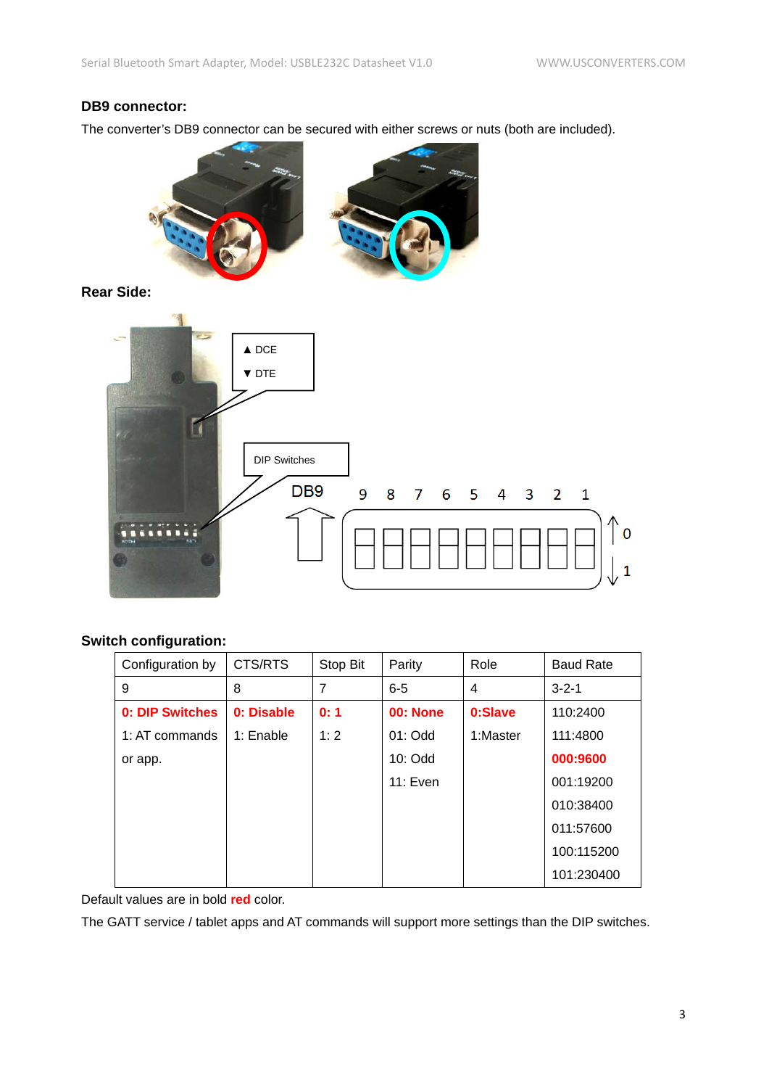### **DB9 connector:**

The converter's DB9 connector can be secured with either screws or nuts (both are included).



**Rear Side:**



#### **Switch configuration:**

| Configuration by | CTS/RTS    | Stop Bit       | Parity          | Role     | <b>Baud Rate</b> |
|------------------|------------|----------------|-----------------|----------|------------------|
| 9                | 8          | $\overline{7}$ | $6 - 5$         | 4        | $3 - 2 - 1$      |
| 0: DIP Switches  | 0: Disable | 0:1            | <b>00: None</b> | 0:Slave  | 110:2400         |
| 1: AT commands   | 1: Enable  | 1:2            | $01:$ Odd       | 1:Master | 111:4800         |
| or app.          |            |                | $10:$ Odd       |          | 000:9600         |
|                  |            |                | 11: Even        |          | 001:19200        |
|                  |            |                |                 |          | 010:38400        |
|                  |            |                |                 |          | 011:57600        |
|                  |            |                |                 |          | 100:115200       |
|                  |            |                |                 |          | 101:230400       |

Default values are in bold **red** color.

The GATT service / tablet apps and AT commands will support more settings than the DIP switches.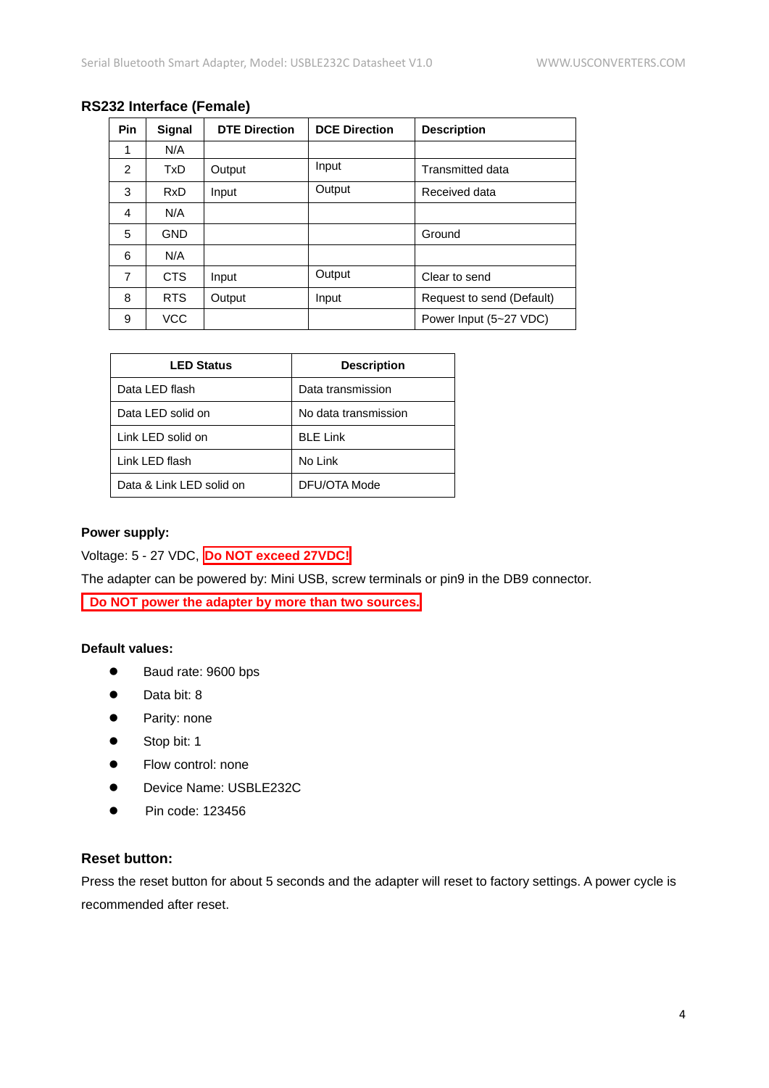| <b>Pin</b> | Signal     | <b>DTE Direction</b> | <b>DCE Direction</b> | <b>Description</b>        |
|------------|------------|----------------------|----------------------|---------------------------|
| 1          | N/A        |                      |                      |                           |
| 2          | TxD        | Output               | Input                | <b>Transmitted data</b>   |
| 3          | <b>RxD</b> | Input                | Output               | Received data             |
| 4          | N/A        |                      |                      |                           |
| 5          | <b>GND</b> |                      |                      | Ground                    |
| 6          | N/A        |                      |                      |                           |
| 7          | CTS        | Input                | Output               | Clear to send             |
| 8          | RTS.       | Output               | Input                | Request to send (Default) |
| 9          | <b>VCC</b> |                      |                      | Power Input (5~27 VDC)    |

## **RS232 Interface (Female)**

| <b>LED Status</b>        | <b>Description</b>   |
|--------------------------|----------------------|
| Data LED flash           | Data transmission    |
| Data LED solid on        | No data transmission |
| Link LED solid on        | <b>BLE Link</b>      |
| Link LED flash           | No Link              |
| Data & Link LED solid on | DFU/OTA Mode         |

#### **Power supply:**

Voltage: 5 - 27 VDC, **Do NOT exceed 27VDC!**

The adapter can be powered by: Mini USB, screw terminals or pin9 in the DB9 connector.

**Do NOT power the adapter by more than two sources.**

## **Default values:**

- Baud rate: 9600 bps
- Data bit: 8
- **•** Parity: none
- Stop bit: 1
- **•** Flow control: none
- Device Name: USBLE232C
- $\bullet$  Pin code: 123456

### **Reset button:**

Press the reset button for about 5 seconds and the adapter will reset to factory settings. A power cycle is recommended after reset.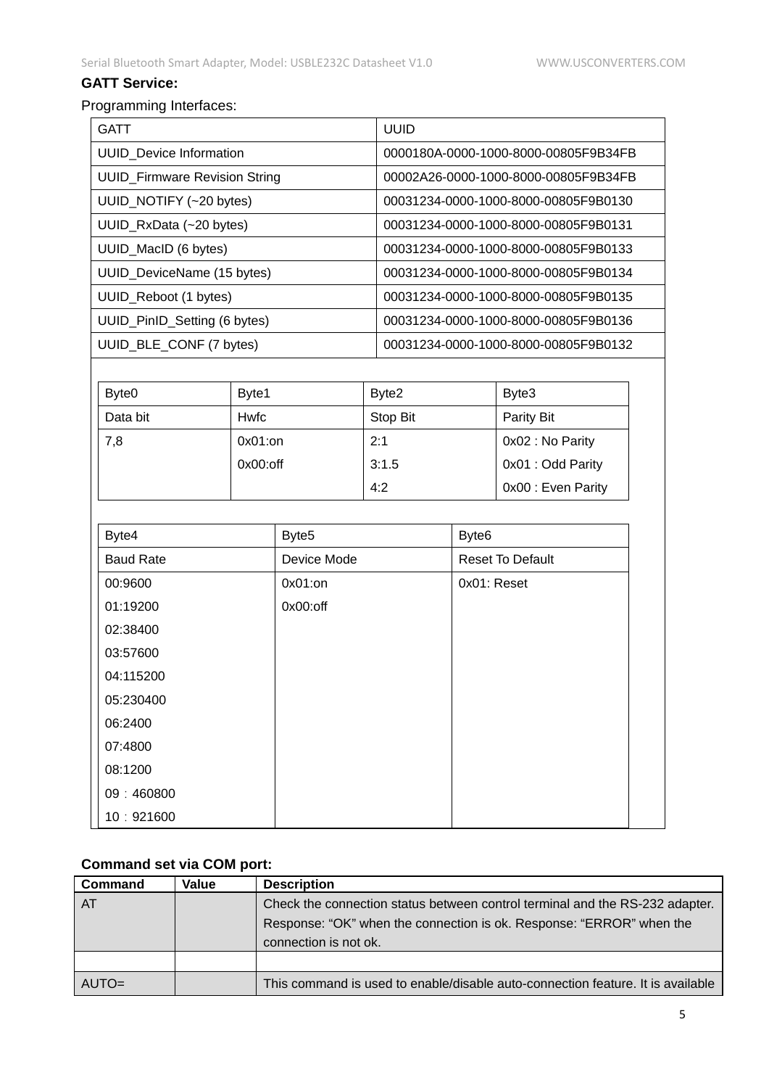# **GATT Service:**

# Programming Interfaces:

| <b>GATT</b>                          | <b>UUID</b>                          |
|--------------------------------------|--------------------------------------|
| <b>UUID</b> Device Information       | 0000180A-0000-1000-8000-00805F9B34FB |
| <b>UUID Firmware Revision String</b> | 00002A26-0000-1000-8000-00805F9B34FB |
| UUID_NOTIFY (~20 bytes)              | 00031234-0000-1000-8000-00805F9B0130 |
| UUID_RxData (~20 bytes)              | 00031234-0000-1000-8000-00805F9B0131 |
| UUID_MacID (6 bytes)                 | 00031234-0000-1000-8000-00805F9B0133 |
| UUID_DeviceName (15 bytes)           | 00031234-0000-1000-8000-00805F9B0134 |
| UUID_Reboot (1 bytes)                | 00031234-0000-1000-8000-00805F9B0135 |
| UUID_PinID_Setting (6 bytes)         | 00031234-0000-1000-8000-00805F9B0136 |
| UUID BLE CONF (7 bytes)              | 00031234-0000-1000-8000-00805F9B0132 |

| Byte <sub>0</sub> | Byte1       | Byte2    | Byte3              |
|-------------------|-------------|----------|--------------------|
| Data bit          | Hwfc        | Stop Bit | Parity Bit         |
| 7,8               | $0x01:$ on  | 2:1      | 0x02 : No Parity   |
|                   | $0x00:$ off | 3:1.5    | 0x01 : Odd Parity  |
|                   |             | 4:2      | 0x00 : Even Parity |

| Byte4            | Byte <sub>5</sub> | Byte <sub>6</sub>       |
|------------------|-------------------|-------------------------|
| <b>Baud Rate</b> | Device Mode       | <b>Reset To Default</b> |
| 00:9600          | 0x01:on           | 0x01: Reset             |
| 01:19200         | 0x00:off          |                         |
| 02:38400         |                   |                         |
| 03:57600         |                   |                         |
| 04:115200        |                   |                         |
| 05:230400        |                   |                         |
| 06:2400          |                   |                         |
| 07:4800          |                   |                         |
| 08:1200          |                   |                         |
| 09:460800        |                   |                         |
| 10:921600        |                   |                         |

# **Command set via COM port:**

| Command | Value | <b>Description</b>                                                              |
|---------|-------|---------------------------------------------------------------------------------|
| $A$ T   |       | Check the connection status between control terminal and the RS-232 adapter.    |
|         |       | Response: "OK" when the connection is ok. Response: "ERROR" when the            |
|         |       | connection is not ok.                                                           |
|         |       |                                                                                 |
| AUTO=   |       | This command is used to enable/disable auto-connection feature. It is available |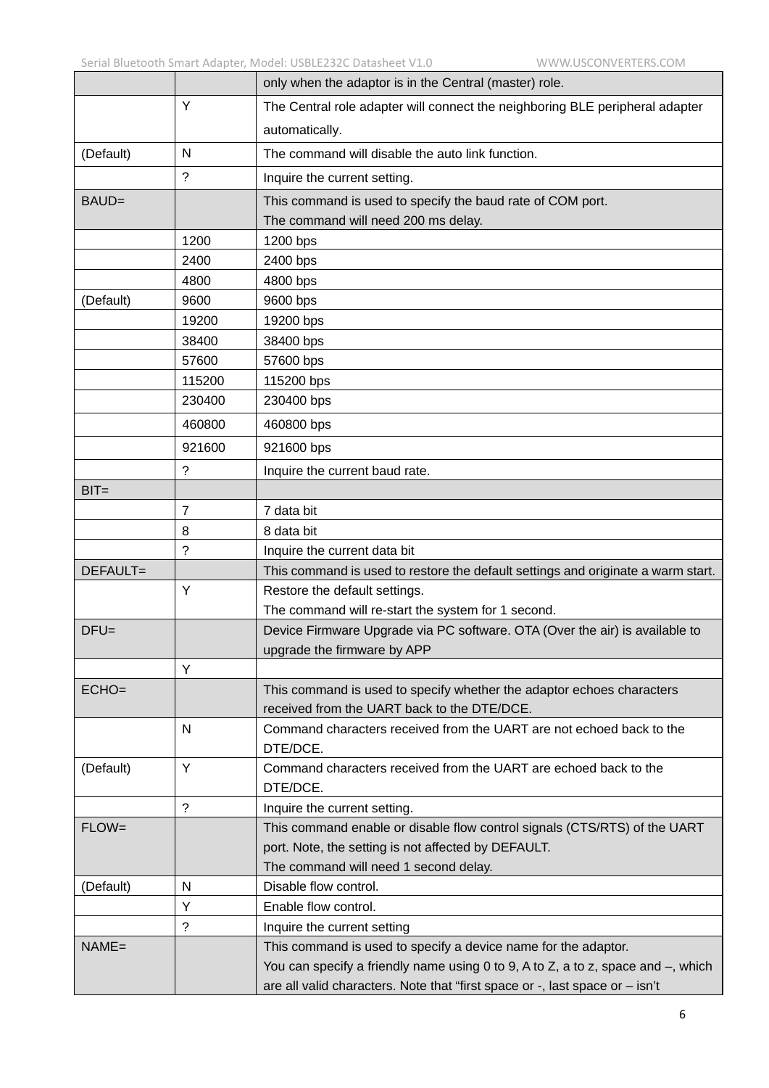|        | only when the adaptor is in the Central (master) role.                                        |
|--------|-----------------------------------------------------------------------------------------------|
| Y      | The Central role adapter will connect the neighboring BLE peripheral adapter                  |
|        | automatically.                                                                                |
| N      | The command will disable the auto link function.                                              |
| ?      | Inquire the current setting.                                                                  |
|        | This command is used to specify the baud rate of COM port.                                    |
|        | The command will need 200 ms delay.                                                           |
| 1200   | 1200 bps                                                                                      |
| 2400   | 2400 bps                                                                                      |
| 4800   | 4800 bps                                                                                      |
| 9600   | 9600 bps                                                                                      |
| 19200  | 19200 bps                                                                                     |
| 38400  | 38400 bps                                                                                     |
| 57600  | 57600 bps                                                                                     |
| 115200 | 115200 bps                                                                                    |
| 230400 | 230400 bps                                                                                    |
| 460800 | 460800 bps                                                                                    |
| 921600 | 921600 bps                                                                                    |
| ?      | Inquire the current baud rate.                                                                |
|        |                                                                                               |
| 7      | 7 data bit                                                                                    |
| 8      | 8 data bit                                                                                    |
| ?      | Inquire the current data bit                                                                  |
|        | This command is used to restore the default settings and originate a warm start.              |
| Y      | Restore the default settings.                                                                 |
|        | The command will re-start the system for 1 second.                                            |
|        | Device Firmware Upgrade via PC software. OTA (Over the air) is available to                   |
|        | upgrade the firmware by APP                                                                   |
| Υ      |                                                                                               |
|        | This command is used to specify whether the adaptor echoes characters                         |
|        | received from the UART back to the DTE/DCE.                                                   |
| N      | Command characters received from the UART are not echoed back to the                          |
|        | DTE/DCE.                                                                                      |
|        | Command characters received from the UART are echoed back to the                              |
|        | DTE/DCE.                                                                                      |
|        | Inquire the current setting.                                                                  |
|        | This command enable or disable flow control signals (CTS/RTS) of the UART                     |
|        | port. Note, the setting is not affected by DEFAULT.                                           |
|        | The command will need 1 second delay.<br>Disable flow control.                                |
|        | Enable flow control.                                                                          |
|        |                                                                                               |
|        | Inquire the current setting<br>This command is used to specify a device name for the adaptor. |
|        | You can specify a friendly name using 0 to 9, A to Z, a to z, space and $-$ , which           |
|        | are all valid characters. Note that "first space or -, last space or - isn't                  |
|        | Y<br>?<br>N<br>Y<br>$\tilde{?}$                                                               |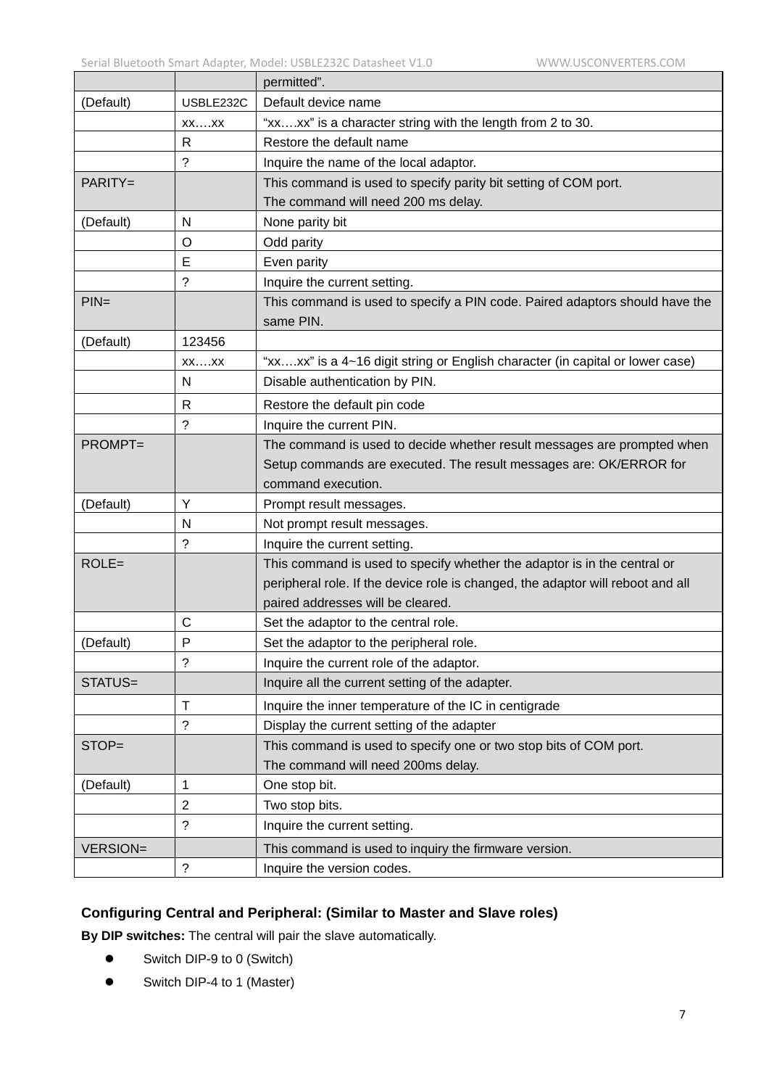|                 |                    | permitted".                                                                     |  |  |
|-----------------|--------------------|---------------------------------------------------------------------------------|--|--|
| (Default)       | USBLE232C          | Default device name                                                             |  |  |
|                 | $XX$ $XX$          | "xxxx" is a character string with the length from 2 to 30.                      |  |  |
|                 | $\mathsf{R}$       | Restore the default name                                                        |  |  |
|                 | $\tilde{?}$        | Inquire the name of the local adaptor.                                          |  |  |
| PARITY=         |                    | This command is used to specify parity bit setting of COM port.                 |  |  |
|                 |                    | The command will need 200 ms delay.                                             |  |  |
| (Default)       | N                  | None parity bit                                                                 |  |  |
|                 | O                  | Odd parity                                                                      |  |  |
|                 | E                  | Even parity                                                                     |  |  |
|                 | ?                  | Inquire the current setting.                                                    |  |  |
| $PIN=$          |                    | This command is used to specify a PIN code. Paired adaptors should have the     |  |  |
|                 |                    | same PIN.                                                                       |  |  |
| (Default)       | 123456             |                                                                                 |  |  |
|                 | $XX$ $XX$          | "xxxx" is a 4~16 digit string or English character (in capital or lower case)   |  |  |
|                 | N                  | Disable authentication by PIN.                                                  |  |  |
|                 | $\mathsf{R}$       | Restore the default pin code                                                    |  |  |
|                 | ?                  | Inquire the current PIN.                                                        |  |  |
| PROMPT=         |                    | The command is used to decide whether result messages are prompted when         |  |  |
|                 |                    | Setup commands are executed. The result messages are: OK/ERROR for              |  |  |
|                 |                    | command execution.                                                              |  |  |
| (Default)       | Y                  | Prompt result messages.                                                         |  |  |
|                 | N                  | Not prompt result messages.                                                     |  |  |
|                 | ?                  | Inquire the current setting.                                                    |  |  |
| $ROLE =$        |                    | This command is used to specify whether the adaptor is in the central or        |  |  |
|                 |                    | peripheral role. If the device role is changed, the adaptor will reboot and all |  |  |
|                 |                    | paired addresses will be cleared.                                               |  |  |
|                 | $\mathsf{C}$       | Set the adaptor to the central role.                                            |  |  |
| (Default)       | P                  | Set the adaptor to the peripheral role.                                         |  |  |
|                 | ?                  | Inquire the current role of the adaptor.                                        |  |  |
| STATUS=         |                    | Inquire all the current setting of the adapter.                                 |  |  |
|                 | $\mathsf{T}$       | Inquire the inner temperature of the IC in centigrade                           |  |  |
|                 | $\tilde{?}$        | Display the current setting of the adapter                                      |  |  |
| STOP=           |                    | This command is used to specify one or two stop bits of COM port.               |  |  |
|                 |                    | The command will need 200ms delay.                                              |  |  |
| (Default)       | 1                  | One stop bit.                                                                   |  |  |
|                 | $\overline{2}$     | Two stop bits.                                                                  |  |  |
|                 | $\overline{\cdot}$ | Inquire the current setting.                                                    |  |  |
| <b>VERSION=</b> |                    | This command is used to inquiry the firmware version.                           |  |  |
|                 | $\ddot{?}$         | Inquire the version codes.                                                      |  |  |

## **Configuring Central and Peripheral: (Similar to Master and Slave roles)**

**By DIP switches:** The central will pair the slave automatically.

- Switch DIP-9 to 0 (Switch)
- Switch DIP-4 to 1 (Master)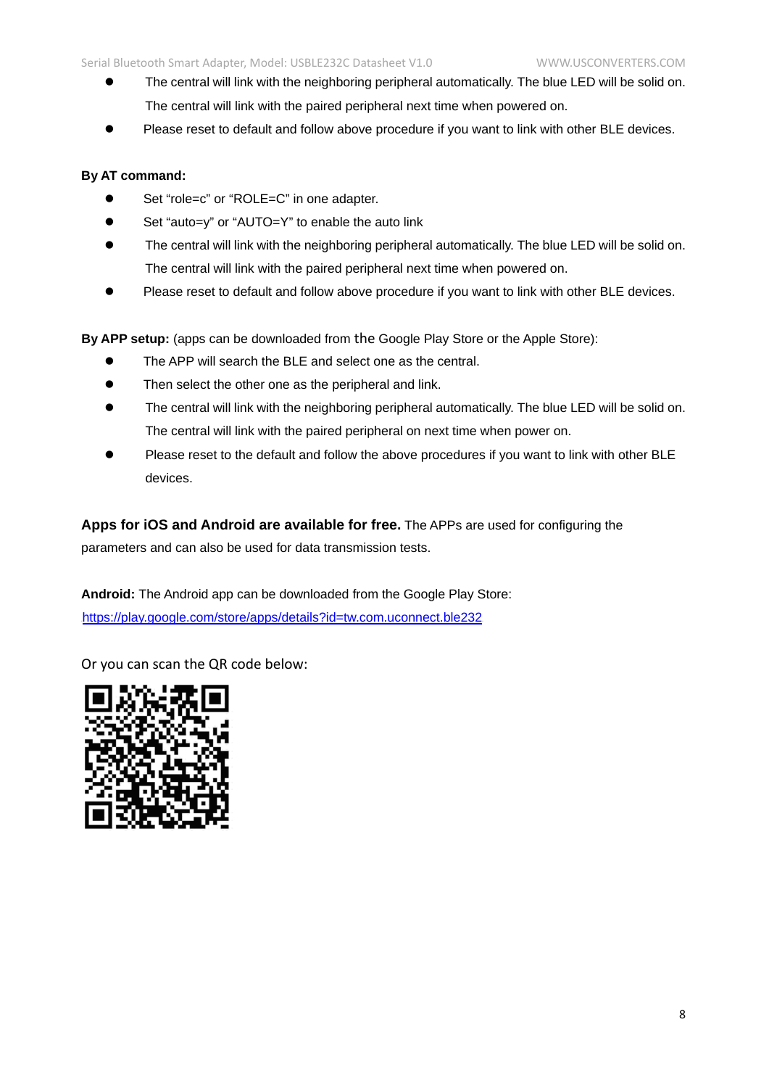- The central will link with the neighboring peripheral automatically. The blue LED will be solid on. The central will link with the paired peripheral next time when powered on.
- Please reset to default and follow above procedure if you want to link with other BLE devices.

#### **By AT command:**

- Set "role=c" or "ROLE=C" in one adapter.
- Set "auto=y" or "AUTO=Y" to enable the auto link
- The central will link with the neighboring peripheral automatically. The blue LED will be solid on. The central will link with the paired peripheral next time when powered on.
- Please reset to default and follow above procedure if you want to link with other BLE devices.

**By APP setup:** (apps can be downloaded from the Google Play Store or the Apple Store):

- The APP will search the BLE and select one as the central.
- Then select the other one as the peripheral and link.
- The central will link with the neighboring peripheral automatically. The blue LED will be solid on. The central will link with the paired peripheral on next time when power on.
- Please reset to the default and follow the above procedures if you want to link with other BLE devices.

**Apps for iOS and Android are available for free.** The APPs are used for configuring the parameters and can also be used for data transmission tests.

**Android:** The Android app can be downloaded from the Google Play Store: <https://play.google.com/store/apps/details?id=tw.com.uconnect.ble232>

Or you can scan the QR code below: